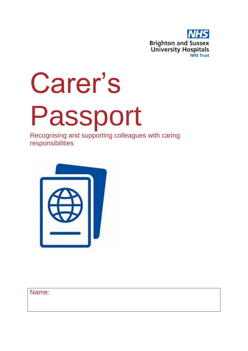

# Carer's Passport

Recognising and supporting colleagues with caring responsibilities



Name: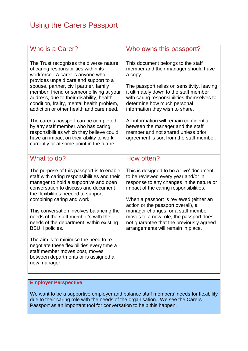| Who is a Carer?                                                                                                                                                                                                                                                                                                                                                                                                                                                                                                                                                                                               | Who owns this passport?                                                                                                                                                                                                                                                                                                                                                                                                                                           |  |
|---------------------------------------------------------------------------------------------------------------------------------------------------------------------------------------------------------------------------------------------------------------------------------------------------------------------------------------------------------------------------------------------------------------------------------------------------------------------------------------------------------------------------------------------------------------------------------------------------------------|-------------------------------------------------------------------------------------------------------------------------------------------------------------------------------------------------------------------------------------------------------------------------------------------------------------------------------------------------------------------------------------------------------------------------------------------------------------------|--|
| The Trust recognises the diverse nature<br>of caring responsibilities within its<br>workforce. A carer is anyone who<br>provides unpaid care and support to a<br>spouse, partner, civil partner, family<br>member, friend or someone living at your<br>address, due to their disability, health<br>condition, frailty, mental health problem,<br>addiction or other health and care need.<br>The carer's passport can be completed<br>by any staff member who has caring<br>responsibilities which they believe could<br>have an impact on their ability to work<br>currently or at some point in the future. | This document belongs to the staff<br>member and their manager should have<br>a copy.<br>The passport relies on sensitivity, leaving<br>it ultimately down to the staff member<br>with caring responsibilities themselves to<br>determine how much personal<br>information they wish to share.<br>All information will remain confidential<br>between the manager and the staff<br>member and not shared unless prior<br>agreement is sort from the staff member. |  |
|                                                                                                                                                                                                                                                                                                                                                                                                                                                                                                                                                                                                               |                                                                                                                                                                                                                                                                                                                                                                                                                                                                   |  |
| What to do?                                                                                                                                                                                                                                                                                                                                                                                                                                                                                                                                                                                                   | How often?                                                                                                                                                                                                                                                                                                                                                                                                                                                        |  |
| The purpose of this passport is to enable<br>staff with caring responsibilities and their<br>manager to hold a supportive and open<br>conversation to discuss and document<br>the flexibilities needed to support<br>combining caring and work.                                                                                                                                                                                                                                                                                                                                                               | This is designed to be a 'live' document<br>to be reviewed every year and/or in<br>response to any changes in the nature or<br>impact of the caring responsibilities.<br>When a passport is reviewed (either an<br>action or the passport overall), a<br>manager changes, or a staff member<br>moves to a new role, the passport does<br>not guarantee that the previously agreed<br>arrangements will remain in place.                                           |  |
| This conversation involves balancing the<br>needs of the staff member's with the<br>needs of the department, within existing<br><b>BSUH policies.</b>                                                                                                                                                                                                                                                                                                                                                                                                                                                         |                                                                                                                                                                                                                                                                                                                                                                                                                                                                   |  |
| The aim is to minimise the need to re-<br>negotiate these flexibilities every time a<br>staff member moves post, moves<br>between departments or is assigned a<br>new manager.                                                                                                                                                                                                                                                                                                                                                                                                                                |                                                                                                                                                                                                                                                                                                                                                                                                                                                                   |  |

# **Employer Perspective**

We want to be a supportive employer and balance staff members' needs for flexibility due to their caring role with the needs of the organisation. We see the Carers Passport as an important tool for conversation to help this happen.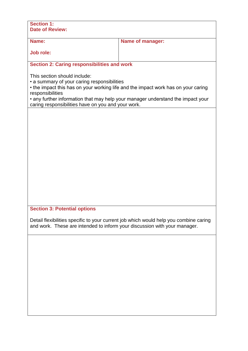| <b>Section 1:</b><br><b>Date of Review:</b>                                                                                                                                                                                                                                                                                   |                         |  |  |  |
|-------------------------------------------------------------------------------------------------------------------------------------------------------------------------------------------------------------------------------------------------------------------------------------------------------------------------------|-------------------------|--|--|--|
| Name:                                                                                                                                                                                                                                                                                                                         | <b>Name of manager:</b> |  |  |  |
| Job role:                                                                                                                                                                                                                                                                                                                     |                         |  |  |  |
| <b>Section 2: Caring responsibilities and work</b>                                                                                                                                                                                                                                                                            |                         |  |  |  |
| This section should include:<br>• a summary of your caring responsibilities<br>• the impact this has on your working life and the impact work has on your caring<br>responsibilities<br>• any further information that may help your manager understand the impact your<br>caring responsibilities have on you and your work. |                         |  |  |  |
|                                                                                                                                                                                                                                                                                                                               |                         |  |  |  |
|                                                                                                                                                                                                                                                                                                                               |                         |  |  |  |
|                                                                                                                                                                                                                                                                                                                               |                         |  |  |  |
|                                                                                                                                                                                                                                                                                                                               |                         |  |  |  |
|                                                                                                                                                                                                                                                                                                                               |                         |  |  |  |
|                                                                                                                                                                                                                                                                                                                               |                         |  |  |  |
|                                                                                                                                                                                                                                                                                                                               |                         |  |  |  |
| <b>Section 3: Potential options</b>                                                                                                                                                                                                                                                                                           |                         |  |  |  |
| Detail flexibilities specific to your current job which would help you combine caring<br>and work. These are intended to inform your discussion with your manager.                                                                                                                                                            |                         |  |  |  |
|                                                                                                                                                                                                                                                                                                                               |                         |  |  |  |
|                                                                                                                                                                                                                                                                                                                               |                         |  |  |  |
|                                                                                                                                                                                                                                                                                                                               |                         |  |  |  |
|                                                                                                                                                                                                                                                                                                                               |                         |  |  |  |
|                                                                                                                                                                                                                                                                                                                               |                         |  |  |  |
|                                                                                                                                                                                                                                                                                                                               |                         |  |  |  |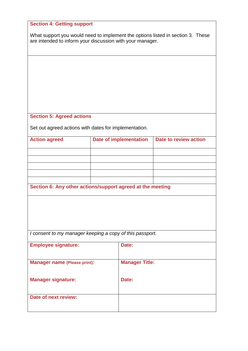| <b>Section 4: Getting support</b>                                                                                                            |                               |                       |                       |  |  |  |
|----------------------------------------------------------------------------------------------------------------------------------------------|-------------------------------|-----------------------|-----------------------|--|--|--|
| What support you would need to implement the options listed in section 3. These<br>are intended to inform your discussion with your manager. |                               |                       |                       |  |  |  |
|                                                                                                                                              |                               |                       |                       |  |  |  |
|                                                                                                                                              |                               |                       |                       |  |  |  |
|                                                                                                                                              |                               |                       |                       |  |  |  |
|                                                                                                                                              |                               |                       |                       |  |  |  |
|                                                                                                                                              |                               |                       |                       |  |  |  |
|                                                                                                                                              |                               |                       |                       |  |  |  |
| <b>Section 5: Agreed actions</b>                                                                                                             |                               |                       |                       |  |  |  |
| Set out agreed actions with dates for implementation.                                                                                        |                               |                       |                       |  |  |  |
| <b>Action agreed</b>                                                                                                                         | <b>Date of implementation</b> |                       | Date to review action |  |  |  |
|                                                                                                                                              |                               |                       |                       |  |  |  |
|                                                                                                                                              |                               |                       |                       |  |  |  |
|                                                                                                                                              |                               |                       |                       |  |  |  |
|                                                                                                                                              |                               |                       |                       |  |  |  |
| Section 6: Any other actions/support agreed at the meeting                                                                                   |                               |                       |                       |  |  |  |
|                                                                                                                                              |                               |                       |                       |  |  |  |
|                                                                                                                                              |                               |                       |                       |  |  |  |
|                                                                                                                                              |                               |                       |                       |  |  |  |
|                                                                                                                                              |                               |                       |                       |  |  |  |
| I consent to my manager keeping a copy of this passport.                                                                                     |                               |                       |                       |  |  |  |
| <b>Employee signature:</b>                                                                                                                   |                               | Date:                 |                       |  |  |  |
|                                                                                                                                              |                               |                       |                       |  |  |  |
| <b>Manager name (Please print):</b>                                                                                                          |                               | <b>Manager Title:</b> |                       |  |  |  |
| <b>Manager signature:</b>                                                                                                                    |                               | Date:                 |                       |  |  |  |
|                                                                                                                                              |                               |                       |                       |  |  |  |
| Date of next review:                                                                                                                         |                               |                       |                       |  |  |  |
|                                                                                                                                              |                               |                       |                       |  |  |  |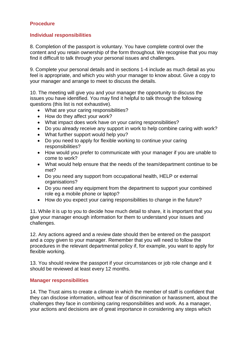## **Procedure**

### **Individual responsibilities**

8. Completion of the passport is voluntary. You have complete control over the content and you retain ownership of the form throughout. We recognise that you may find it difficult to talk through your personal issues and challenges.

9. Complete your personal details and in sections 1-4 include as much detail as you feel is appropriate, and which you wish your manager to know about. Give a copy to your manager and arrange to meet to discuss the details.

10. The meeting will give you and your manager the opportunity to discuss the issues you have identified. You may find it helpful to talk through the following questions (this list is not exhaustive).

- What are your caring responsibilities?
- How do they affect your work?
- What impact does work have on your caring responsibilities?
- Do you already receive any support in work to help combine caring with work?
- What further support would help you?
- Do you need to apply for flexible working to continue your caring responsibilities?
- How would you prefer to communicate with your manager if you are unable to come to work?
- What would help ensure that the needs of the team/department continue to be met?
- Do you need any support from occupational health, HELP or external organisations?
- Do you need any equipment from the department to support your combined role eg a mobile phone or laptop?
- How do you expect your caring responsibilities to change in the future?

11. While it is up to you to decide how much detail to share, it is important that you give your manager enough information for them to understand your issues and challenges.

12. Any actions agreed and a review date should then be entered on the passport and a copy given to your manager. Remember that you will need to follow the procedures in the relevant departmental policy if, for example, you want to apply for flexible working.

13. You should review the passport if your circumstances or job role change and it should be reviewed at least every 12 months.

### **Manager responsibilities**

14. The Trust aims to create a climate in which the member of staff is confident that they can disclose information, without fear of discrimination or harassment, about the challenges they face in combining caring responsibilities and work. As a manager, your actions and decisions are of great importance in considering any steps which